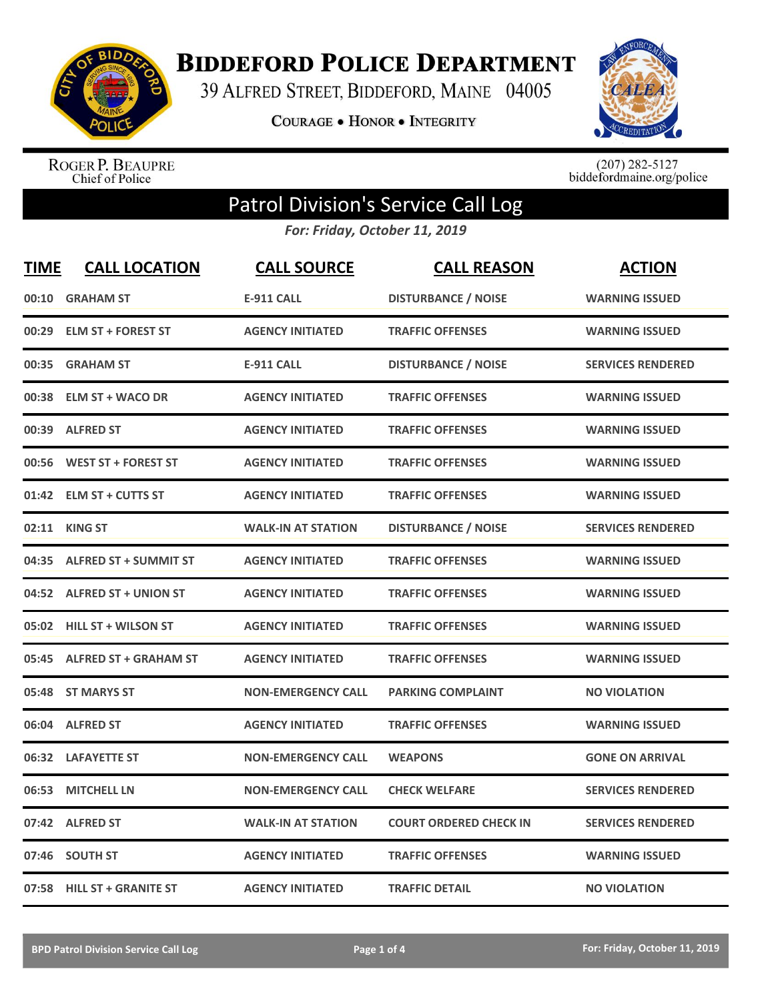

**BIDDEFORD POLICE DEPARTMENT** 

39 ALFRED STREET, BIDDEFORD, MAINE 04005

COURAGE . HONOR . INTEGRITY



ROGER P. BEAUPRE<br>Chief of Police

 $(207)$  282-5127<br>biddefordmaine.org/police

## Patrol Division's Service Call Log

*For: Friday, October 11, 2019*

| <b>TIME</b> | <b>CALL LOCATION</b>         | <b>CALL SOURCE</b>        | <b>CALL REASON</b>            | <b>ACTION</b>            |
|-------------|------------------------------|---------------------------|-------------------------------|--------------------------|
| 00:10       | <b>GRAHAM ST</b>             | <b>E-911 CALL</b>         | <b>DISTURBANCE / NOISE</b>    | <b>WARNING ISSUED</b>    |
| 00:29       | <b>ELM ST + FOREST ST</b>    | <b>AGENCY INITIATED</b>   | <b>TRAFFIC OFFENSES</b>       | <b>WARNING ISSUED</b>    |
| 00:35       | <b>GRAHAM ST</b>             | <b>E-911 CALL</b>         | <b>DISTURBANCE / NOISE</b>    | <b>SERVICES RENDERED</b> |
| 00:38       | <b>ELM ST + WACO DR</b>      | <b>AGENCY INITIATED</b>   | <b>TRAFFIC OFFENSES</b>       | <b>WARNING ISSUED</b>    |
| 00:39       | <b>ALFRED ST</b>             | <b>AGENCY INITIATED</b>   | <b>TRAFFIC OFFENSES</b>       | <b>WARNING ISSUED</b>    |
|             | 00:56 WEST ST + FOREST ST    | <b>AGENCY INITIATED</b>   | <b>TRAFFIC OFFENSES</b>       | <b>WARNING ISSUED</b>    |
|             | 01:42 ELM ST + CUTTS ST      | <b>AGENCY INITIATED</b>   | <b>TRAFFIC OFFENSES</b>       | <b>WARNING ISSUED</b>    |
|             | 02:11 KING ST                | <b>WALK-IN AT STATION</b> | <b>DISTURBANCE / NOISE</b>    | <b>SERVICES RENDERED</b> |
|             | 04:35 ALFRED ST + SUMMIT ST  | <b>AGENCY INITIATED</b>   | <b>TRAFFIC OFFENSES</b>       | <b>WARNING ISSUED</b>    |
|             | 04:52 ALFRED ST + UNION ST   | <b>AGENCY INITIATED</b>   | <b>TRAFFIC OFFENSES</b>       | <b>WARNING ISSUED</b>    |
|             | 05:02 HILL ST + WILSON ST    | <b>AGENCY INITIATED</b>   | <b>TRAFFIC OFFENSES</b>       | <b>WARNING ISSUED</b>    |
| 05:45       | <b>ALFRED ST + GRAHAM ST</b> | <b>AGENCY INITIATED</b>   | <b>TRAFFIC OFFENSES</b>       | <b>WARNING ISSUED</b>    |
|             | 05:48 ST MARYS ST            | <b>NON-EMERGENCY CALL</b> | <b>PARKING COMPLAINT</b>      | <b>NO VIOLATION</b>      |
|             | 06:04 ALFRED ST              | <b>AGENCY INITIATED</b>   | <b>TRAFFIC OFFENSES</b>       | <b>WARNING ISSUED</b>    |
|             | 06:32 LAFAYETTE ST           | <b>NON-EMERGENCY CALL</b> | <b>WEAPONS</b>                | <b>GONE ON ARRIVAL</b>   |
| 06:53       | <b>MITCHELL LN</b>           | <b>NON-EMERGENCY CALL</b> | <b>CHECK WELFARE</b>          | <b>SERVICES RENDERED</b> |
|             | 07:42 ALFRED ST              | <b>WALK-IN AT STATION</b> | <b>COURT ORDERED CHECK IN</b> | <b>SERVICES RENDERED</b> |
| 07:46       | <b>SOUTH ST</b>              | <b>AGENCY INITIATED</b>   | <b>TRAFFIC OFFENSES</b>       | <b>WARNING ISSUED</b>    |
|             | 07:58 HILL ST + GRANITE ST   | <b>AGENCY INITIATED</b>   | <b>TRAFFIC DETAIL</b>         | <b>NO VIOLATION</b>      |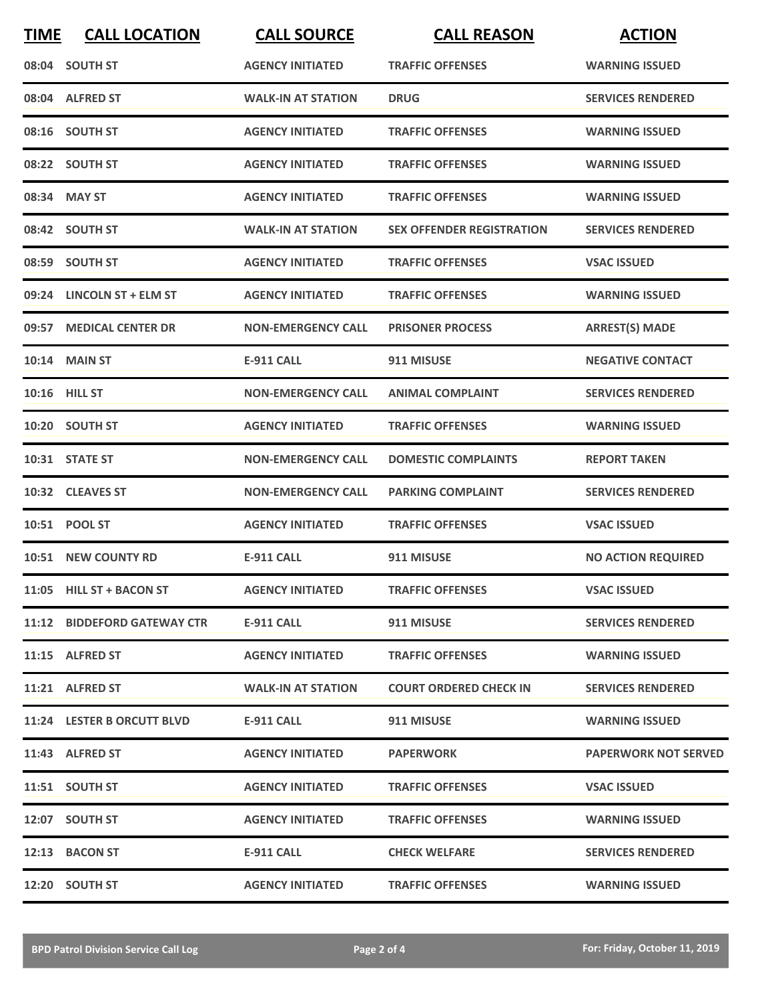| <b>TIME</b> | <b>CALL LOCATION</b>        | <b>CALL SOURCE</b>        | <b>CALL REASON</b>               | <b>ACTION</b>               |
|-------------|-----------------------------|---------------------------|----------------------------------|-----------------------------|
|             | 08:04 SOUTH ST              | <b>AGENCY INITIATED</b>   | <b>TRAFFIC OFFENSES</b>          | <b>WARNING ISSUED</b>       |
|             | 08:04 ALFRED ST             | <b>WALK-IN AT STATION</b> | <b>DRUG</b>                      | <b>SERVICES RENDERED</b>    |
|             | 08:16 SOUTH ST              | <b>AGENCY INITIATED</b>   | <b>TRAFFIC OFFENSES</b>          | <b>WARNING ISSUED</b>       |
|             | 08:22 SOUTH ST              | <b>AGENCY INITIATED</b>   | <b>TRAFFIC OFFENSES</b>          | <b>WARNING ISSUED</b>       |
|             | 08:34 MAY ST                | <b>AGENCY INITIATED</b>   | <b>TRAFFIC OFFENSES</b>          | <b>WARNING ISSUED</b>       |
|             | 08:42 SOUTH ST              | <b>WALK-IN AT STATION</b> | <b>SEX OFFENDER REGISTRATION</b> | <b>SERVICES RENDERED</b>    |
|             | 08:59 SOUTH ST              | <b>AGENCY INITIATED</b>   | <b>TRAFFIC OFFENSES</b>          | <b>VSAC ISSUED</b>          |
|             | 09:24 LINCOLN ST + ELM ST   | <b>AGENCY INITIATED</b>   | <b>TRAFFIC OFFENSES</b>          | <b>WARNING ISSUED</b>       |
|             | 09:57 MEDICAL CENTER DR     | <b>NON-EMERGENCY CALL</b> | <b>PRISONER PROCESS</b>          | <b>ARREST(S) MADE</b>       |
|             | <b>10:14 MAIN ST</b>        | <b>E-911 CALL</b>         | 911 MISUSE                       | <b>NEGATIVE CONTACT</b>     |
|             | 10:16 HILL ST               | <b>NON-EMERGENCY CALL</b> | <b>ANIMAL COMPLAINT</b>          | <b>SERVICES RENDERED</b>    |
|             | 10:20 SOUTH ST              | <b>AGENCY INITIATED</b>   | <b>TRAFFIC OFFENSES</b>          | <b>WARNING ISSUED</b>       |
|             | 10:31 STATE ST              | <b>NON-EMERGENCY CALL</b> | <b>DOMESTIC COMPLAINTS</b>       | <b>REPORT TAKEN</b>         |
|             | 10:32 CLEAVES ST            | <b>NON-EMERGENCY CALL</b> | <b>PARKING COMPLAINT</b>         | <b>SERVICES RENDERED</b>    |
|             | 10:51 POOL ST               | <b>AGENCY INITIATED</b>   | <b>TRAFFIC OFFENSES</b>          | <b>VSAC ISSUED</b>          |
|             | 10:51 NEW COUNTY RD         | <b>E-911 CALL</b>         | 911 MISUSE                       | <b>NO ACTION REQUIRED</b>   |
|             | 11:05 HILL ST + BACON ST    | <b>AGENCY INITIATED</b>   | <b>TRAFFIC OFFENSES</b>          | <b>VSAC ISSUED</b>          |
|             | 11:12 BIDDEFORD GATEWAY CTR | E-911 CALL                | 911 MISUSE                       | <b>SERVICES RENDERED</b>    |
|             | 11:15 ALFRED ST             | <b>AGENCY INITIATED</b>   | <b>TRAFFIC OFFENSES</b>          | <b>WARNING ISSUED</b>       |
|             | 11:21 ALFRED ST             | <b>WALK-IN AT STATION</b> | <b>COURT ORDERED CHECK IN</b>    | <b>SERVICES RENDERED</b>    |
|             | 11:24 LESTER B ORCUTT BLVD  | E-911 CALL                | 911 MISUSE                       | <b>WARNING ISSUED</b>       |
|             | 11:43 ALFRED ST             | <b>AGENCY INITIATED</b>   | <b>PAPERWORK</b>                 | <b>PAPERWORK NOT SERVED</b> |
|             | 11:51 SOUTH ST              | <b>AGENCY INITIATED</b>   | <b>TRAFFIC OFFENSES</b>          | <b>VSAC ISSUED</b>          |
|             | 12:07 SOUTH ST              | <b>AGENCY INITIATED</b>   | <b>TRAFFIC OFFENSES</b>          | <b>WARNING ISSUED</b>       |
|             | 12:13 BACON ST              | E-911 CALL                | <b>CHECK WELFARE</b>             | <b>SERVICES RENDERED</b>    |
|             | 12:20 SOUTH ST              | <b>AGENCY INITIATED</b>   | <b>TRAFFIC OFFENSES</b>          | <b>WARNING ISSUED</b>       |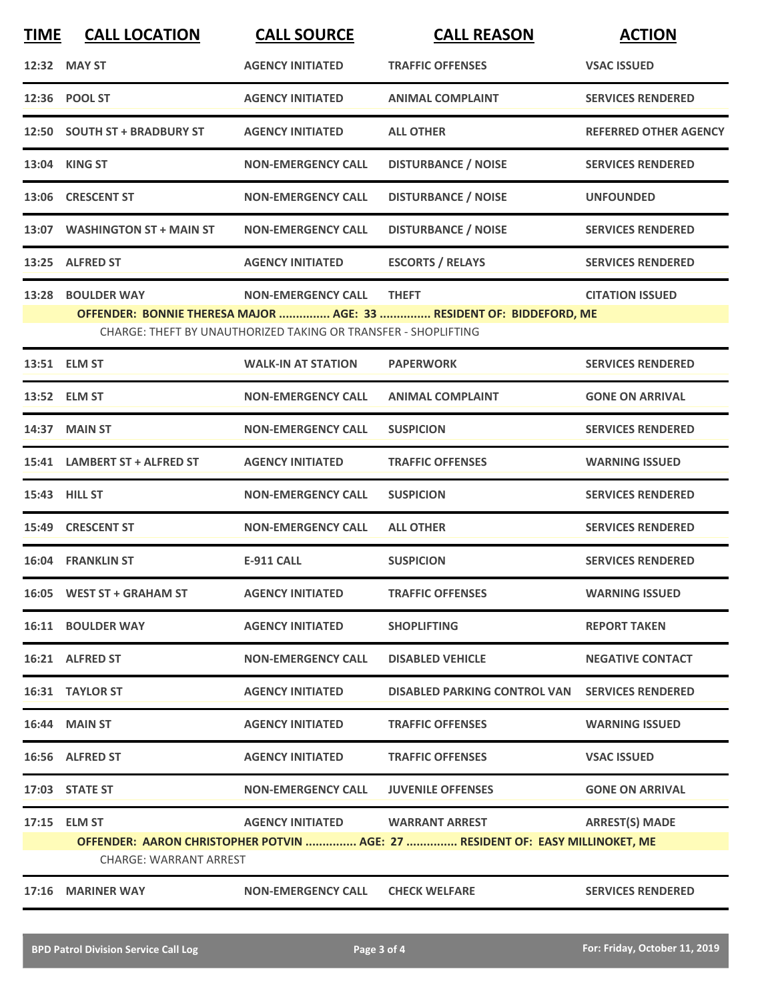| <b>TIME</b> | <b>CALL LOCATION</b>                          | <b>CALL SOURCE</b>                                                                          | <b>CALL REASON</b>                                                                                               | <b>ACTION</b>                |
|-------------|-----------------------------------------------|---------------------------------------------------------------------------------------------|------------------------------------------------------------------------------------------------------------------|------------------------------|
|             | 12:32 MAY ST                                  | <b>AGENCY INITIATED</b>                                                                     | <b>TRAFFIC OFFENSES</b>                                                                                          | <b>VSAC ISSUED</b>           |
|             | 12:36 POOL ST                                 | <b>AGENCY INITIATED</b>                                                                     | <b>ANIMAL COMPLAINT</b>                                                                                          | <b>SERVICES RENDERED</b>     |
|             | 12:50 SOUTH ST + BRADBURY ST                  | <b>AGENCY INITIATED</b>                                                                     | <b>ALL OTHER</b>                                                                                                 | <b>REFERRED OTHER AGENCY</b> |
|             | 13:04 KING ST                                 | <b>NON-EMERGENCY CALL</b>                                                                   | <b>DISTURBANCE / NOISE</b>                                                                                       | <b>SERVICES RENDERED</b>     |
|             | 13:06 CRESCENT ST                             | <b>NON-EMERGENCY CALL</b>                                                                   | <b>DISTURBANCE / NOISE</b>                                                                                       | <b>UNFOUNDED</b>             |
|             | 13:07 WASHINGTON ST + MAIN ST                 | <b>NON-EMERGENCY CALL</b>                                                                   | <b>DISTURBANCE / NOISE</b>                                                                                       | <b>SERVICES RENDERED</b>     |
|             | 13:25 ALFRED ST                               | <b>AGENCY INITIATED</b>                                                                     | <b>ESCORTS / RELAYS</b>                                                                                          | <b>SERVICES RENDERED</b>     |
|             | 13:28 BOULDER WAY                             | <b>NON-EMERGENCY CALL</b><br>CHARGE: THEFT BY UNAUTHORIZED TAKING OR TRANSFER - SHOPLIFTING | <b>THEFT</b><br>OFFENDER: BONNIE THERESA MAJOR  AGE: 33  RESIDENT OF: BIDDEFORD, ME                              | <b>CITATION ISSUED</b>       |
|             | 13:51 ELM ST                                  | <b>WALK-IN AT STATION</b>                                                                   | <b>PAPERWORK</b>                                                                                                 | <b>SERVICES RENDERED</b>     |
|             | 13:52 ELM ST                                  | <b>NON-EMERGENCY CALL</b>                                                                   | <b>ANIMAL COMPLAINT</b>                                                                                          | <b>GONE ON ARRIVAL</b>       |
|             | 14:37 MAIN ST                                 | <b>NON-EMERGENCY CALL</b>                                                                   | <b>SUSPICION</b>                                                                                                 | <b>SERVICES RENDERED</b>     |
|             | 15:41 LAMBERT ST + ALFRED ST                  | <b>AGENCY INITIATED</b>                                                                     | <b>TRAFFIC OFFENSES</b>                                                                                          | <b>WARNING ISSUED</b>        |
|             | 15:43 HILL ST                                 | <b>NON-EMERGENCY CALL</b>                                                                   | <b>SUSPICION</b>                                                                                                 | <b>SERVICES RENDERED</b>     |
|             | 15:49 CRESCENT ST                             | <b>NON-EMERGENCY CALL</b>                                                                   | <b>ALL OTHER</b>                                                                                                 | <b>SERVICES RENDERED</b>     |
|             | <b>16:04 FRANKLIN ST</b>                      | <b>E-911 CALL</b>                                                                           | <b>SUSPICION</b>                                                                                                 | <b>SERVICES RENDERED</b>     |
|             | 16:05 WEST ST + GRAHAM ST                     | <b>AGENCY INITIATED</b>                                                                     | <b>TRAFFIC OFFENSES</b>                                                                                          | <b>WARNING ISSUED</b>        |
|             | <b>16:11 BOULDER WAY</b>                      | <b>AGENCY INITIATED</b>                                                                     | <b>SHOPLIFTING</b>                                                                                               | <b>REPORT TAKEN</b>          |
|             | 16:21 ALFRED ST                               | <b>NON-EMERGENCY CALL</b>                                                                   | <b>DISABLED VEHICLE</b>                                                                                          | <b>NEGATIVE CONTACT</b>      |
|             | 16:31 TAYLOR ST                               | <b>AGENCY INITIATED</b>                                                                     | DISABLED PARKING CONTROL VAN SERVICES RENDERED                                                                   |                              |
|             | <b>16:44 MAIN ST</b>                          | <b>AGENCY INITIATED</b>                                                                     | <b>TRAFFIC OFFENSES</b>                                                                                          | <b>WARNING ISSUED</b>        |
|             | 16:56 ALFRED ST                               | <b>AGENCY INITIATED</b>                                                                     | <b>TRAFFIC OFFENSES</b>                                                                                          | <b>VSAC ISSUED</b>           |
|             | 17:03 STATE ST                                | <b>NON-EMERGENCY CALL</b>                                                                   | <b>JUVENILE OFFENSES</b>                                                                                         | <b>GONE ON ARRIVAL</b>       |
|             | 17:15 ELM ST<br><b>CHARGE: WARRANT ARREST</b> |                                                                                             | AGENCY INITIATED WARRANT ARREST<br>OFFENDER: AARON CHRISTOPHER POTVIN  AGE: 27  RESIDENT OF: EASY MILLINOKET, ME | <b>ARREST(S) MADE</b>        |
|             | 17:16 MARINER WAY                             | <b>NON-EMERGENCY CALL</b>                                                                   | <b>CHECK WELFARE</b>                                                                                             | <b>SERVICES RENDERED</b>     |